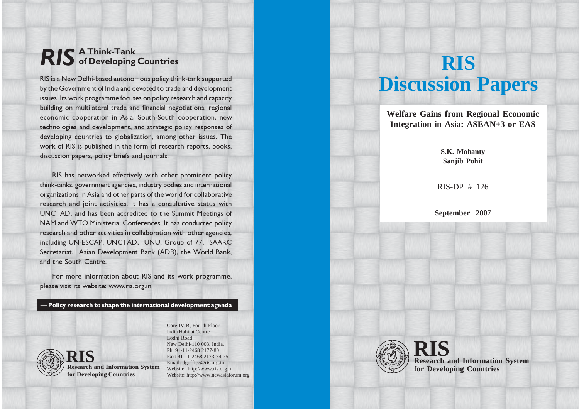# RIS A Think-Tank of Developing Countries

RIS is a New Delhi-based autonomous policy think-tank supported by the Government of India and devoted to trade and development issues. Its work programme focuses on policy research and capacity building on multilateral trade and financial negotiations, regional economic cooperation in Asia, South-South cooperation, new technologies and development, and strategic policy responses of developing countries to globalization, among other issues. The work of RIS is published in the form of research reports, books, discussion papers, policy briefs and journals.

RIS has networked effectively with other prominent policy think-tanks, government agencies, industry bodies and international organizations in Asia and other parts of the world for collaborative research and joint activities. It has a consultative status with UNCTAD, and has been accredited to the Summit Meetings of NAM and WTO Ministerial Conferences. It has conducted policy research and other activities in collaboration with other agencies, including UN-ESCAP, UNCTAD, UNU, Group of 77, SAARC Secretariat, Asian Development Bank (ADB), the World Bank, and the South Centre.

For more information about RIS and its work programme, please visit its website: www.ris.org.in.

— Policy research to shape the international development agenda



**Research and Information System for Developing Countries**

Core IV-B, Fourth Floor India Habitat Centre Lodhi Road New Delhi-110 003, India. Ph. 91-11-2468 2177-80 Fax: 91-11-2468 2173-74-75 Email: dgoffice@ris.org.in Website: http://www.ris.org.in Website: http://www.newasiaforum.org

# **RIS Discussion Papers**

**Welfare Gains from Regional Economic Integration in Asia: ASEAN+3 or EAS**

## **S.K. Mohanty Sanjib Pohit**

RIS-DP # 126

**September 2007**



**Research and Information System for Developing Countries RIS**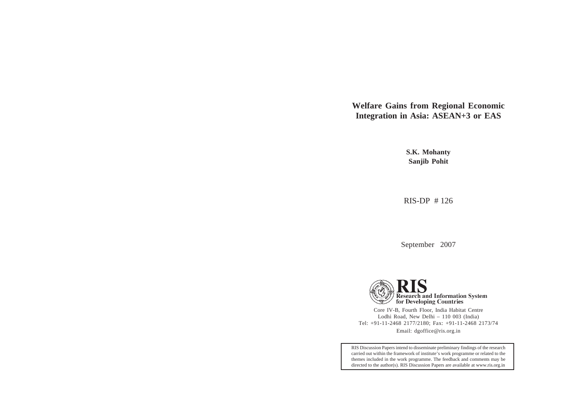**Welfare Gains from Regional Economic Integration in Asia: ASEAN+3 or EAS**

> **S.K. Mohanty Sanjib Pohit**

RIS-DP # 126

September 2007



Core IV-B, Fourth Floor, India Habitat Centre Lodhi Road, New Delhi – 110 003 (India) Tel: +91-11-2468 2177/2180; Fax: +91-11-2468 2173/74 Email: dgoffice@ris.org.in

RIS Discussion Papers intend to disseminate preliminary findings of the research carried out within the framework of institute's work programme or related to the themes included in the work programme. The feedback and comments may be directed to the author(s). RIS Discussion Papers are available at www.ris.org.in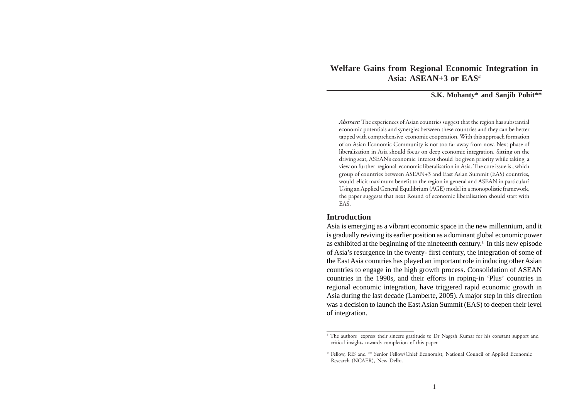# **Welfare Gains from Regional Economic Integration in Asia: ASEAN+3 or EAS#**

**S.K. Mohanty\* and Sanjib Pohit\*\***

*Abstract:* The experiences of Asian countries suggest that the region has substantial economic potentials and synergies between these countries and they can be better tapped with comprehensive economic cooperation. With this approach formation of an Asian Economic Community is not too far away from now. Next phase of liberalisation in Asia should focus on deep economic integration. Sitting on the driving seat, ASEAN's economic interest should be given priority while taking a view on further regional economic liberalisation in Asia. The core issue is , which group of countries between ASEAN+3 and East Asian Summit (EAS) countries, would elicit maximum benefit to the region in general and ASEAN in particular? Using an Applied General Equilibrium (AGE) model in a monopolistic framework, the paper suggests that next Round of economic liberalisation should start with EAS.

#### **Introduction**

Asia is emerging as a vibrant economic space in the new millennium, and it is gradually reviving its earlier position as a dominant global economic power as exhibited at the beginning of the nineteenth century.1 In this new episode of Asia's resurgence in the twenty- first century, the integration of some of the East Asia countries has played an important role in inducing other Asian countries to engage in the high growth process. Consolidation of ASEAN countries in the 1990s, and their efforts in roping-in 'Plus' countries in regional economic integration, have triggered rapid economic growth in Asia during the last decade (Lamberte, 2005). A major step in this direction was a decision to launch the East Asian Summit (EAS) to deepen their level of integration.

<sup>#</sup> The authors express their sincere gratitude to Dr Nagesh Kumar for his constant support and critical insights towards completion of this paper.

<sup>\*</sup> Fellow, RIS and \*\* Senior Fellow/Chief Economist, National Council of Applied Economic Research (NCAER), New Delhi.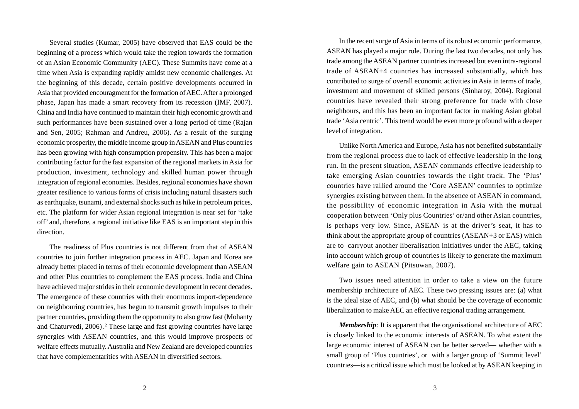Several studies (Kumar, 2005) have observed that EAS could be the beginning of a process which would take the region towards the formation of an Asian Economic Community (AEC). These Summits have come at a time when Asia is expanding rapidly amidst new economic challenges. At the beginning of this decade, certain positive developments occurred in Asia that provided encouragment for the formation of AEC. After a prolonged phase, Japan has made a smart recovery from its recession (IMF, 2007). China and India have continued to maintain their high economic growth and such performances have been sustained over a long period of time (Rajan and Sen, 2005; Rahman and Andreu, 2006). As a result of the surging economic prosperity, the middle income group in ASEAN and Plus countries has been growing with high consumption propensity. This has been a major contributing factor for the fast expansion of the regional markets in Asia for production, investment, technology and skilled human power through integration of regional economies. Besides, regional economies have shown greater resilience to various forms of crisis including natural disasters such as earthquake, tsunami, and external shocks such as hike in petroleum prices, etc. The platform for wider Asian regional integration is near set for 'take off' and, therefore, a regional initiative like EAS is an important step in this direction.

The readiness of Plus countries is not different from that of ASEAN countries to join further integration process in AEC. Japan and Korea are already better placed in terms of their economic development than ASEAN and other Plus countries to complement the EAS process. India and China have achieved major strides in their economic development in recent decades. The emergence of these countries with their enormous import-dependence on neighbouring countries, has begun to transmit growth impulses to their partner countries, providing them the opportunity to also grow fast (Mohanty and Chaturvedi, 2006) .2 These large and fast growing countries have large synergies with ASEAN countries, and this would improve prospects of welfare effects mutually. Australia and New Zealand are developed countries that have complementarities with ASEAN in diversified sectors.

In the recent surge of Asia in terms of its robust economic performance, ASEAN has played a major role. During the last two decades, not only has trade among the ASEAN partner countries increased but even intra-regional trade of ASEAN+4 countries has increased substantially, which has contributed to surge of overall economic activities in Asia in terms of trade, investment and movement of skilled persons (Sinharoy, 2004). Regional countries have revealed their strong preference for trade with close neighbours, and this has been an important factor in making Asian global trade 'Asia centric'. This trend would be even more profound with a deeper level of integration.

Unlike North America and Europe, Asia has not benefited substantially from the regional process due to lack of effective leadership in the long run. In the present situation, ASEAN commands effective leadership to take emerging Asian countries towards the right track. The 'Plus' countries have rallied around the 'Core ASEAN' countries to optimize synergies existing between them. In the absence of ASEAN in command, the possibility of economic integration in Asia with the mutual cooperation between 'Only plus Countries' or/and other Asian countries, is perhaps very low. Since, ASEAN is at the driver's seat, it has to think about the appropriate group of countries (ASEAN+3 or EAS) which are to carryout another liberalisation initiatives under the AEC, taking into account which group of countries is likely to generate the maximum welfare gain to ASEAN (Pitsuwan, 2007).

Two issues need attention in order to take a view on the future membership architecture of AEC. These two pressing issues are: (a) what is the ideal size of AEC, and (b) what should be the coverage of economic liberalization to make AEC an effective regional trading arrangement.

*Membership*: It is apparent that the organisational architecture of AEC is closely linked to the economic interests of ASEAN. To what extent the large economic interest of ASEAN can be better served— whether with a small group of 'Plus countries', or with a larger group of 'Summit level' countries—is a critical issue which must be looked at by ASEAN keeping in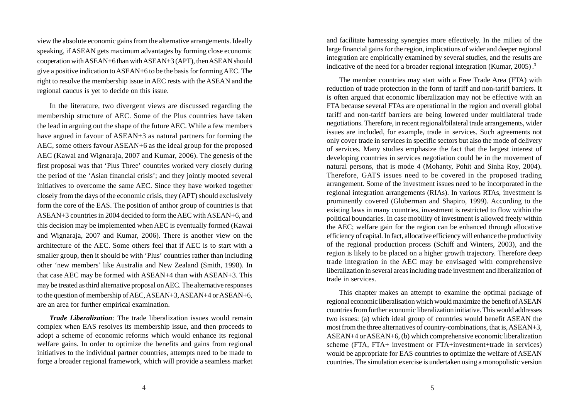view the absolute economic gains from the alternative arrangements. Ideally speaking, if ASEAN gets maximum advantages by forming close economic cooperation with ASEAN+6 than with ASEAN+3 (APT), then ASEAN should give a positive indication to ASEAN+6 to be the basis for forming AEC. The right to resolve the membership issue in AEC rests with the ASEAN and the regional caucus is yet to decide on this issue.

In the literature, two divergent views are discussed regarding the membership structure of AEC. Some of the Plus countries have taken the lead in arguing out the shape of the future AEC. While a few members have argued in favour of ASEAN+3 as natural partners for forming the AEC, some others favour ASEAN+6 as the ideal group for the proposed AEC (Kawai and Wignaraja, 2007 and Kumar, 2006). The genesis of the first proposal was that 'Plus Three' countries worked very closely during the period of the 'Asian financial crisis'; and they jointly mooted several initiatives to overcome the same AEC. Since they have worked together closely from the days of the economic crisis, they (APT) should exclusively form the core of the EAS. The position of anthor group of countries is that ASEAN+3 countries in 2004 decided to form the AEC with ASEAN+6, and this decision may be implemented when AEC is eventually formed (Kawai and Wignaraja, 2007 and Kumar, 2006). There is another view on the architecture of the AEC. Some others feel that if AEC is to start with a smaller group, then it should be with 'Plus' countries rather than including other 'new members' like Australia and New Zealand (Smith, 1998). In that case AEC may be formed with ASEAN+4 than with ASEAN+3. This may be treated as third alternative proposal on AEC. The alternative responses to the question of membership of AEC, ASEAN+3, ASEAN+4 or ASEAN+6, are an area for further empirical examination.

*Trade Liberalization:* The trade liberalization issues would remain complex when EAS resolves its membership issue, and then proceeds to adopt a scheme of economic reforms which would enhance its regional welfare gains. In order to optimize the benefits and gains from regional initiatives to the individual partner countries, attempts need to be made to forge a broader regional framework, which will provide a seamless market and facilitate harnessing synergies more effectively. In the milieu of the large financial gains for the region, implications of wider and deeper regional integration are empirically examined by several studies, and the results are indicative of the need for a broader regional integration (Kumar, 2005).<sup>3</sup>

The member countries may start with a Free Trade Area (FTA) with reduction of trade protection in the form of tariff and non-tariff barriers. It is often argued that economic liberalization may not be effective with an FTA because several FTAs are operational in the region and overall global tariff and non-tariff barriers are being lowered under multilateral trade negotiations. Therefore, in recent regional/bilateral trade arrangements, wider issues are included, for example, trade in services. Such agreements not only cover trade in services in specific sectors but also the mode of delivery of services. Many studies emphasize the fact that the largest interest of developing countries in services negotiation could be in the movement of natural persons, that is mode 4 (Mohanty, Pohit and Sinha Roy, 2004). Therefore, GATS issues need to be covered in the proposed trading arrangement. Some of the investment issues need to be incorporated in the regional integration arrangements (RIAs). In various RTAs, investment is prominently covered (Globerman and Shapiro, 1999). According to the existing laws in many countries, investment is restricted to flow within the political boundaries. In case mobility of investment is allowed freely within the AEC; welfare gain for the region can be enhanced through allocative efficiency of capital. In fact, allocative efficiency will enhance the productivity of the regional production process (Schiff and Winters, 2003), and the region is likely to be placed on a higher growth trajectory. Therefore deep trade integration in the AEC may be envisaged with comprehensive liberalization in several areas including trade investment and liberalization of trade in services.

This chapter makes an attempt to examine the optimal package of regional economic liberalisation which would maximize the benefit of ASEAN countries from further economic liberalization initiative. This would addresses two issues: (a) which ideal group of countries would benefit ASEAN the most from the three alternatives of country-combinations, that is, ASEAN+3, ASEAN+4 or ASEAN+6, (b) which comprehensive economic liberalization scheme (FTA, FTA+ investment or FTA+investment+trade in services) would be appropriate for EAS countries to optimize the welfare of ASEAN countries. The simulation exercise is undertaken using a monopolistic version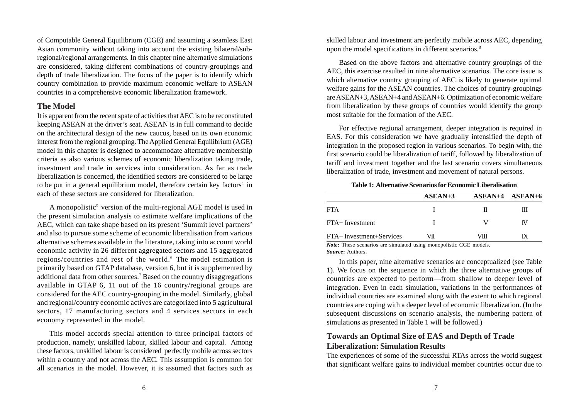of Computable General Equilibrium (CGE) and assuming a seamless East Asian community without taking into account the existing bilateral/subregional/regional arrangements. In this chapter nine alternative simulations are considered, taking different combinations of country-groupings and depth of trade liberalization. The focus of the paper is to identify which country combination to provide maximum economic welfare to ASEAN countries in a comprehensive economic liberalization framework.

## **The Model**

It is apparent from the recent spate of activities that AEC is to be reconstituted keeping ASEAN at the driver's seat. ASEAN is in full command to decide on the architectural design of the new caucus, based on its own economic interest from the regional grouping. The Applied General Equilibrium (AGE) model in this chapter is designed to accommodate alternative membership criteria as also various schemes of economic liberalization taking trade, investment and trade in services into consideration. As far as trade liberalization is concerned, the identified sectors are considered to be large to be put in a general equilibrium model, therefore certain key factors<sup>4</sup> in each of these sectors are considered for liberalization.

A monopolistic<sup>5</sup> version of the multi-regional AGE model is used in the present simulation analysis to estimate welfare implications of the AEC, which can take shape based on its present 'Summit level partners' and also to pursue some scheme of economic liberalisation from various alternative schemes available in the literature, taking into account world economic activity in 26 different aggregated sectors and 15 aggregated regions/countries and rest of the world.<sup>6</sup> The model estimation is primarily based on GTAP database, version 6, but it is supplemented by additional data from other sources.7 Based on the country disaggregations available in GTAP 6, 11 out of the 16 country/regional groups are considered for the AEC country-grouping in the model. Similarly, global and regional/country economic actives are categorized into 5 agricultural sectors, 17 manufacturing sectors and 4 services sectors in each economy represented in the model.

This model accords special attention to three principal factors of production, namely, unskilled labour, skilled labour and capital. Among these factors, unskilled labour is considered perfectly mobile across sectors within a country and not across the AEC. This assumption is common for all scenarios in the model. However, it is assumed that factors such as skilled labour and investment are perfectly mobile across AEC, depending upon the model specifications in different scenarios.<sup>8</sup>

Based on the above factors and alternative country groupings of the AEC, this exercise resulted in nine alternative scenarios. The core issue is which alternative country grouping of AEC is likely to generate optimal welfare gains for the ASEAN countries. The choices of country-groupings are ASEAN+3, ASEAN+4 and ASEAN+6. Optimization of economic welfare from liberalization by these groups of countries would identify the group most suitable for the formation of the AEC.

For effective regional arrangement, deeper integration is required in EAS. For this consideration we have gradually intensified the depth of integration in the proposed region in various scenarios. To begin with, the first scenario could be liberalization of tariff, followed by liberalization of tariff and investment together and the last scenario covers simultaneous liberalization of trade, investment and movement of natural persons.

**Table 1: Alternative Scenarios for Economic Liberalisation**

|                          | $ASEAN+3$ | $ASEAN+4$ $ASEAN+6$ |   |
|--------------------------|-----------|---------------------|---|
| <b>FTA</b>               |           |                     | ш |
| $FTA+Investment$         |           |                     |   |
| FTA+ Investment+Services | VП        | VIII                |   |

*Note***:** These scenarios are simulated using monopolistic CGE models. *Source***:** Authors.

In this paper, nine alternative scenarios are conceptualized (see Table 1). We focus on the sequence in which the three alternative groups of countries are expected to perform—from shallow to deeper level of integration. Even in each simulation, variations in the performances of individual countries are examined along with the extent to which regional countries are coping with a deeper level of economic liberalization. (In the subsequent discussions on scenario analysis, the numbering pattern of simulations as presented in Table 1 will be followed.)

# **Towards an Optimal Size of EAS and Depth of Trade Liberalization: Simulation Results**

The experiences of some of the successful RTAs across the world suggest that significant welfare gains to individual member countries occur due to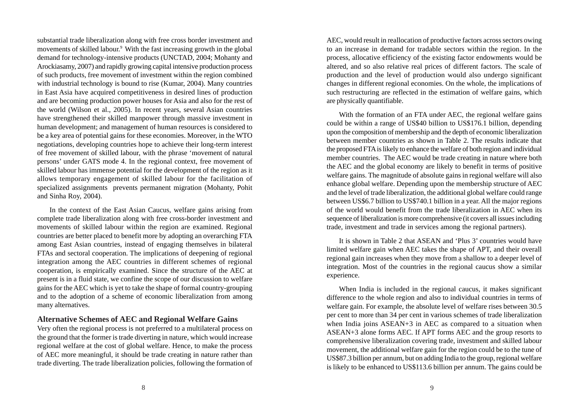substantial trade liberalization along with free cross border investment and movements of skilled labour.<sup>9</sup> With the fast increasing growth in the global demand for technology-intensive products (UNCTAD, 2004; Mohanty and Arockiasamy, 2007) and rapidly growing capital intensive production process of such products, free movement of investment within the region combined with industrial technology is bound to rise (Kumar, 2004). Many countries in East Asia have acquired competitiveness in desired lines of production and are becoming production power houses for Asia and also for the rest of the world (Wilson et al., 2005). In recent years, several Asian countries have strengthened their skilled manpower through massive investment in human development; and management of human resources is considered to be a key area of potential gains for these economies. Moreover, in the WTO negotiations, developing countries hope to achieve their long-term interest of free movement of skilled labour, with the phrase 'movement of natural persons' under GATS mode 4. In the regional context, free movement of skilled labour has immense potential for the development of the region as it allows temporary engagement of skilled labour for the facilitation of specialized assignments prevents permanent migration (Mohanty, Pohit and Sinha Roy, 2004).

In the context of the East Asian Caucus, welfare gains arising from complete trade liberalization along with free cross-border investment and movements of skilled labour within the region are examined. Regional countries are better placed to benefit more by adopting an overarching FTA among East Asian countries, instead of engaging themselves in bilateral FTAs and sectoral cooperation. The implications of deepening of regional integration among the AEC countries in different schemes of regional cooperation, is empirically examined. Since the structure of the AEC at present is in a fluid state, we confine the scope of our discussion to welfare gains for the AEC which is yet to take the shape of formal country-grouping and to the adoption of a scheme of economic liberalization from among many alternatives.

## **Alternative Schemes of AEC and Regional Welfare Gains**

Very often the regional process is not preferred to a multilateral process on the ground that the former is trade diverting in nature, which would increase regional welfare at the cost of global welfare. Hence, to make the process of AEC more meaningful, it should be trade creating in nature rather than trade diverting. The trade liberalization policies, following the formation of

AEC, would result in reallocation of productive factors across sectors owing to an increase in demand for tradable sectors within the region. In the process, allocative efficiency of the existing factor endowments would be altered, and so also relative real prices of different factors. The scale of production and the level of production would also undergo significant changes in different regional economies. On the whole, the implications of such restructuring are reflected in the estimation of welfare gains, which are physically quantifiable.

With the formation of an FTA under AEC, the regional welfare gains could be within a range of US\$40 billion to US\$176.1 billion, depending upon the composition of membership and the depth of economic liberalization between member countries as shown in Table 2. The results indicate that the proposed FTA is likely to enhance the welfare of both region and individual member countries. The AEC would be trade creating in nature where both the AEC and the global economy are likely to benefit in terms of positive welfare gains. The magnitude of absolute gains in regional welfare will also enhance global welfare. Depending upon the membership structure of AEC and the level of trade liberalization, the additional global welfare could range between US\$6.7 billion to US\$740.1 billion in a year. All the major regions of the world would benefit from the trade liberalization in AEC when its sequence of liberalization is more comprehensive (it covers all issues including trade, investment and trade in services among the regional partners).

It is shown in Table 2 that ASEAN and 'Plus 3' countries would have limited welfare gain when AEC takes the shape of APT, and their overall regional gain increases when they move from a shallow to a deeper level of integration. Most of the countries in the regional caucus show a similar experience.

When India is included in the regional caucus, it makes significant difference to the whole region and also to individual countries in terms of welfare gain. For example, the absolute level of welfare rises between 30.5 per cent to more than 34 per cent in various schemes of trade liberalization when India joins ASEAN+3 in AEC as compared to a situation when ASEAN+3 alone forms AEC. If APT forms AEC and the group resorts to comprehensive liberalization covering trade, investment and skilled labour movement, the additional welfare gain for the region could be to the tune of US\$87.3 billion per annum, but on adding India to the group, regional welfare is likely to be enhanced to US\$113.6 billion per annum. The gains could be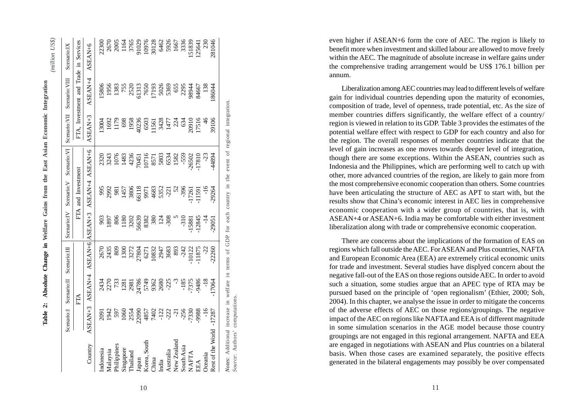| Scenario:IX                         |                                       | ASEAN+6         | 22300       |              | 2670<br>2005<br>1165<br>3765       |              |          | 91029 | 10976<br>30128 |       | 6462            | 5926                          | 1667            | 3336       | 51839 | 25641 | 230            | 281046            |
|-------------------------------------|---------------------------------------|-----------------|-------------|--------------|------------------------------------|--------------|----------|-------|----------------|-------|-----------------|-------------------------------|-----------------|------------|-------|-------|----------------|-------------------|
|                                     | FTA, Investment and Trade in Services | ASEAN+4         | 15806       | 1956         | 1383                               | 755          | 2520     | 51313 | 7650           | 17193 | 5026            | 5369                          | 655             | 2295       | 98944 | 84667 | <sup>138</sup> | 86044             |
| Scenario: VII Scenario: VIII        |                                       | ASEAN+3         | 13004       |              | 1692<br>1179                       | 698          | 1958     | 40236 | 6503<br>11561  |       | 3428            | 1477                          | 224             | 634        | 20910 | 17516 | $\frac{9}{5}$  | 39106             |
|                                     |                                       |                 | 2320        | 3243         | 1076                               | 1483         | 4236     | 70451 | 10716          | 8571  | 5803            | 6534                          | 1582            | $-559$     | 26502 | 17810 | 23             | 44894             |
| Scenario:IV Scenario:V Scenario:VI  | FTA and Investment                    | ASEAN+4 ASEAN+6 |             |              | 993<br>2981<br>981<br>1457<br>3806 |              |          | 56118 |                |       |                 | 9971<br>4683<br>5352<br>53721 | $\frac{5}{2}$   | $-396$     | 17261 | 11591 | $-16$          | $-29264$          |
|                                     |                                       | ASEAN+6 ASEAN+3 | 903         | 1897         | $\frac{80}{6}$                     | 1180         | 3202     | 56639 | 8382           | 380   | $124$<br>$-308$ |                               |                 | $-310$     | 15881 | 12845 | $\frac{1}{4}$  | 29051             |
|                                     |                                       |                 |             | 2670<br>2435 | 809                                | 1300         | 3272     | 27804 | 6271           | 10832 | 2947            | 3683                          | 893             | $-242$     | 10122 | 11875 | Š-             | 22260             |
| Scenario:I Scenario:II Scenario:III | FTA                                   | ASEAN+4         |             | 2434<br>2270 | 733                                | 1281         | 2981     | 24786 | 5749           | 9362  | 2680            | $-225$                        | $\tilde{\zeta}$ | $-185$     | -7375 | 9486  | $-18$          | 17064             |
|                                     |                                       | ASEAN+3         | <b>160Z</b> | 1942         | 597                                | 1060<br>2554 |          | 22090 | 4857           | 7402  |                 | $-122$<br>$-222$              | កុ              | $-256$     | 7330  | 9988  | $\frac{6}{1}$  | $-17287$          |
|                                     |                                       | Country         | Indonesia   | Malaysia     | <sup>2</sup> hilippines            | Singapore    | Thailand | Japan | Korea, South   | China | India           | Australia                     | New Zealand     | South Asia | NAFTA | EEA   | Jceania        | Rest of the World |

**Table 2: Absolute Change in Welfare Gains from the East Asian Economic Integration**

Table 2:

Absolute Change in Welfare Gains from the East Asian Economic Integration

*(million US\$)*

(million US\$)

regional integration. *Notes*: Additional increase in welfare in terms of GDP for each country in the event of regional integration. <sup>of</sup> event the  $\Xi$  $country$ each for of GDP in terms in welfare *Source*: Authors' computations.computations increase Notes: Additional<br>Source: Authors' o even higher if ASEAN+6 form the core of AEC. The region is likely to benefit more when investment and skilled labour are allowed to move freely within the AEC. The magnitude of absolute increase in welfare gains under the comprehensive trading arrangement would be US\$ 176.1 billion per annum.

Liberalization among AEC countries may lead to different levels of welfare gain for individual countries depending upon the maturity of economies, composition of trade, level of openness, trade potential, etc. As the size of member countries differs significantly, the welfare effect of a country/ region is viewed in relation to its GDP. Table 3 provides the estimates of the potential welfare effect with respect to GDP for each country and also for the region. The overall responses of member countries indicate that the level of gain increases as one moves towards deeper level of integration, though there are some exceptions. Within the ASEAN, countries such as Indonesia and the Philippines, which are performing well to catch up with other, more advanced countries of the region, are likely to gain more from the most comprehensive economic cooperation than others. Some countries have been articulating the structure of AEC as APT to start with, but the results show that China's economic interest in AEC lies in comprehensive economic cooperation with a wider group of countries, that is, with ASEAN+4 or ASEAN+6. India may be comfortable with either investment liberalization along with trade or comprehensive economic cooperation.

There are concerns about the implications of the formation of EAS on regions which fall outside the AEC. For ASEAN and Plus countries, NAFTA and European Economic Area (EEA) are extremely critical economic units for trade and investment. Several studies have displyed concern about the negative fall-out of the EAS on those regions outside AEC. In order to avoid such a situation, some studies argue that an APEC type of RTA may be pursued based on the principle of 'open regionalism' (Ethier, 2000; Soh, 2004). In this chapter, we analyse the issue in order to mitigate the concerns of the adverse effects of AEC on those regions/groupings. The negative impact of the AEC on regions like NAFTA and EEA is of different magnitude in some simulation scenarios in the AGE model because those country groupings are not engaged in this regional arrangement. NAFTA and EEA are engaged in negotiations with ASEAN and Plus countries on a bilateral basis. When those cases are examined separately, the positive effects generated in the bilateral engagements may possibly be over compensated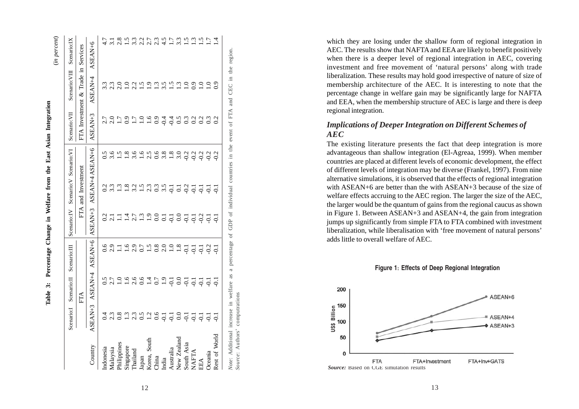|               | Scenario:I                                                            | Scenario:II     | Scenario: III    | Scenario:IV                   | Scenario: V Scenario: VI                  |               | Scenario:VII                                         | Scenario: VIII                     | Scenario:IX                    |
|---------------|-----------------------------------------------------------------------|-----------------|------------------|-------------------------------|-------------------------------------------|---------------|------------------------------------------------------|------------------------------------|--------------------------------|
|               |                                                                       | FTA             |                  |                               | FTA and Investment                        |               |                                                      | FTA Investment & Trade in Services |                                |
| Country       | ASEAN+3                                                               | ASEAN+4 ASEAN+6 |                  | ASEAN+3                       | ASEAN+4 ASEAN+6                           |               | ASEAN+3                                              | ASEAN+4                            | ASEAN+6                        |
| Indonesia     |                                                                       | 0.5             | 0.6              |                               |                                           |               |                                                      | 3.3                                |                                |
| Malaysia      | 2.3                                                                   |                 | 2.9              |                               | 3.3                                       | 3.6           |                                                      | 2.3                                |                                |
| Philippines   | 0.8                                                                   | $2.7$<br>1.0    | Ξ                | $\overline{a}$ $\overline{a}$ | 1.3                                       | 1.5           |                                                      | 2.0                                | 2.8                            |
| Singapore     | 1.3                                                                   | 1.6             | $\ddot{ }$ .     | $\overline{14}$               | 1.8                                       | 1.8           |                                                      | $\subseteq$                        | $\ddot{5}$                     |
| Thailand      | 2.3                                                                   | 2.6             | 2.9              |                               | 3.2                                       | 3.6           | 1.7                                                  | 2.2                                | 3.3                            |
| Japan         | 0.5                                                                   |                 | 0.7              |                               | $\ddot{1}$ .5                             | $\frac{6}{1}$ | $\ddot{=}$                                           | $\tilde{S}$                        | 2.2                            |
| Korea, South  |                                                                       | 0.4             | $\frac{5}{1}$    |                               | 2.3                                       | 2.5           | 1.6                                                  | $\tilde{\mathbf{c}}$               | $\frac{7}{5}$<br>$\frac{1}{2}$ |
| China         | $\frac{1}{2}$ 6                                                       | 0.7             | $0.\overline{8}$ |                               | 0.3                                       | 0.6           | 0.9                                                  | $\tilde{\mathbf{c}}$               | 2.3                            |
| India         |                                                                       | 1.9             | 2.0              |                               | 3.5                                       |               |                                                      | 3.5                                | 4.5                            |
| Australia     | $\frac{1}{5}$ $\frac{1}{5}$ $\frac{0}{5}$ $\frac{0}{5}$ $\frac{1}{5}$ |                 | $\overline{1.0}$ |                               |                                           | $3.8$ 1.8     |                                                      | $\ddot{5}$                         | 1.7                            |
| New Zealand   |                                                                       | 0.0             | 1.8              |                               |                                           | 3.0           |                                                      | $\tilde{\omega}$                   | 3.3                            |
| South Asia    |                                                                       | $-5$            | $-0.1$           |                               | $\frac{1}{5}$ $\frac{1}{5}$ $\frac{1}{5}$ | $-0.2$        | $\begin{array}{c} 4400 \\ 2000 \\ -1000 \end{array}$ | $\supseteq$                        | ني                             |
| NAFTA         | $\overline{Q}$                                                        | $-0.1$          | $-5$             |                               |                                           | $-0.2$        | 0.2                                                  | $\overline{0.0}$                   | $\frac{3}{2}$                  |
| EEA           | $\overline{Q}$                                                        | $\overline{Q}$  | Ģ                | 7.3997797772                  | $\overline{Q}$                            | $-0.2$        | 0.2                                                  | $\supseteq$                        | $\tilde{\mathbf{S}}$           |
| Oceania       | ಾ                                                                     | ಾ               | $-0.2$           | $\overline{5}$                | Ģ                                         | $-0.2$        | 0.3                                                  | $\supseteq$                        | $\overline{1}$                 |
| Rest of World |                                                                       |                 |                  |                               | $\overline{Q}$                            | $-0.2$        | 0.2                                                  | $\frac{6}{2}$                      | 4.                             |

Percentage Change in Welfare from the East Asian Integration **Table 3: Percentage Change in Welfare from the East Asian Integration** Table 3:

12

*Source*: Authors' computrations

Source: Authors'

computrations

which they are losing under the shallow form of regional integration in AEC. The results show that NAFTA and EEA are likely to benefit positively when there is a deeper level of regional integration in AEC, covering investment and free movement of 'natural persons' along with trade liberalization. These results may hold good irrespective of nature of size of membership architecture of the AEC. It is interesting to note that the percentage change in welfare gain may be significantly large for NAFTA and EEA, when the membership structure of AEC is large and there is deep regional integration.

# *Implications of Deeper Integration on Different Schemes of AEC*

The existing literature presents the fact that deep integration is more advantageous than shallow integration (El-Agreaa, 1999). When member countries are placed at different levels of economic development, the effect of different levels of integration may be diverse (Frankel, 1997). From nine alternative simulations, it is observed that the effects of regional integration with ASEAN+6 are better than the with ASEAN+3 because of the size of welfare effects accruing to the AEC region. The larger the size of the AEC, the larger would be the quantum of gains from the regional caucus as shown in Figure 1. Between ASEAN+3 and ASEAN+4, the gain from integration jumps up significantly from simple FTA to FTA combined with investment liberalization, while liberalisation with 'free movement of natural persons' adds little to overall welfare of AEC.





13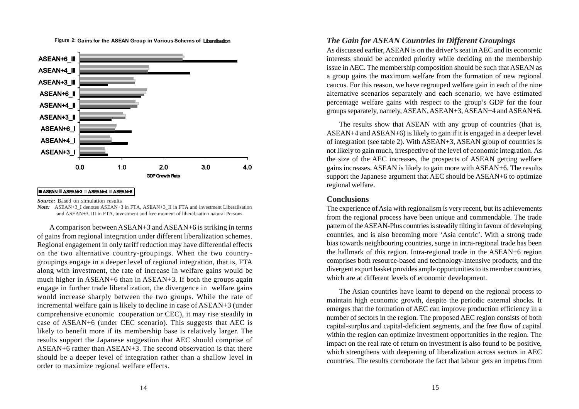

**Gains for the ASEAN Group in Various Schems of Figure 2: Liberalisation**

#### **ASEAN ASEAN+3 ASEAN+4 ASEAN+6**

*Source:* Based on simulation results

*Note:* ASEAN+3\_I denotes ASEAN+3 in FTA, ASEAN+3\_II in FTA and investment Liberalisation and ASEAN+3\_III in FTA, investment and free moment of liberalisation natural Persons.

A comparison between ASEAN+3 and ASEAN+6 is striking in terms of gains from regional integration under different liberalization schemes. Regional engagement in only tariff reduction may have differential effects on the two alternative country-groupings. When the two countrygroupings engage in a deeper level of regional integration, that is, FTA along with investment, the rate of increase in welfare gains would be much higher in ASEAN+6 than in ASEAN+3. If both the groups again engage in further trade liberalization, the divergence in welfare gains would increase sharply between the two groups. While the rate of incremental welfare gain is likely to decline in case of ASEAN+3 (under comprehensive economic cooperation or CEC), it may rise steadily in case of ASEAN+6 (under CEC scenario). This suggests that AEC is likely to benefit more if its membership base is relatively larger. The results support the Japanese suggestion that AEC should comprise of ASEAN+6 rather than ASEAN+3. The second observation is that there should be a deeper level of integration rather than a shallow level in order to maximize regional welfare effects.

## *The Gain for ASEAN Countries in Different Groupings*

As discussed earlier, ASEAN is on the driver's seat in AEC and its economic interests should be accorded priority while deciding on the membership issue in AEC. The membership composition should be such that ASEAN as a group gains the maximum welfare from the formation of new regional caucus. For this reason, we have regrouped welfare gain in each of the nine alternative scenarios separately and each scenario, we have estimated percentage welfare gains with respect to the group's GDP for the four groups separately, namely, ASEAN, ASEAN+3, ASEAN+4 and ASEAN+6.

The results show that ASEAN with any group of countries (that is, ASEAN+4 and ASEAN+6) is likely to gain if it is engaged in a deeper level of integration (see table 2). With ASEAN+3, ASEAN group of countries is not likely to gain much, irrespective of the level of economic integration. As the size of the AEC increases, the prospects of ASEAN getting welfare gains increases. ASEAN is likely to gain more with ASEAN+6. The results support the Japanese argument that AEC should be ASEAN+6 to optimize regional welfare.

### **Conclusions**

The experience of Asia with regionalism is very recent, but its achievements from the regional process have been unique and commendable. The trade pattern of the ASEAN-Plus countries is steadily tilting in favour of developing countries, and is also becoming more 'Asia centric'. With a strong trade bias towards neighbouring countries, surge in intra-regional trade has been the hallmark of this region. Intra-regional trade in the ASEAN+6 region comprises both resource-based and technology-intensive products, and the divergent export basket provides ample opportunities to its member countries, which are at different levels of economic development.

The Asian countries have learnt to depend on the regional process to maintain high economic growth, despite the periodic external shocks. It emerges that the formation of AEC can improve production efficiency in a number of sectors in the region. The proposed AEC region consists of both capital-surplus and capital-deficient segments, and the free flow of capital within the region can optimize investment opportunities in the region. The impact on the real rate of return on investment is also found to be positive, which strengthens with deepening of liberalization across sectors in AEC countries. The results corroborate the fact that labour gets an impetus from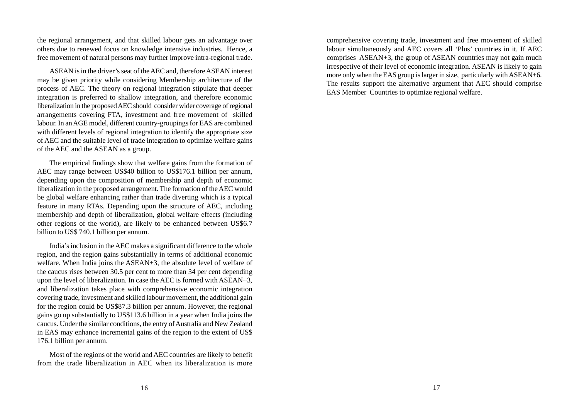the regional arrangement, and that skilled labour gets an advantage over others due to renewed focus on knowledge intensive industries. Hence, a free movement of natural persons may further improve intra-regional trade.

ASEAN is in the driver's seat of the AEC and, therefore ASEAN interest may be given priority while considering Membership architecture of the process of AEC. The theory on regional integration stipulate that deeper integration is preferred to shallow integration, and therefore economic liberalization in the proposed AEC should consider wider coverage of regional arrangements covering FTA, investment and free movement of skilled labour. In an AGE model, different country-groupings for EAS are combined with different levels of regional integration to identify the appropriate size of AEC and the suitable level of trade integration to optimize welfare gains of the AEC and the ASEAN as a group.

The empirical findings show that welfare gains from the formation of AEC may range between US\$40 billion to US\$176.1 billion per annum, depending upon the composition of membership and depth of economic liberalization in the proposed arrangement. The formation of the AEC would be global welfare enhancing rather than trade diverting which is a typical feature in many RTAs. Depending upon the structure of AEC, including membership and depth of liberalization, global welfare effects (including other regions of the world), are likely to be enhanced between US\$6.7 billion to US\$ 740.1 billion per annum.

India's inclusion in the AEC makes a significant difference to the whole region, and the region gains substantially in terms of additional economic welfare. When India joins the ASEAN+3, the absolute level of welfare of the caucus rises between 30.5 per cent to more than 34 per cent depending upon the level of liberalization. In case the AEC is formed with ASEAN+3, and liberalization takes place with comprehensive economic integration covering trade, investment and skilled labour movement, the additional gain for the region could be US\$87.3 billion per annum. However, the regional gains go up substantially to US\$113.6 billion in a year when India joins the caucus. Under the similar conditions, the entry of Australia and New Zealand in EAS may enhance incremental gains of the region to the extent of US\$ 176.1 billion per annum.

Most of the regions of the world and AEC countries are likely to benefit from the trade liberalization in AEC when its liberalization is more comprehensive covering trade, investment and free movement of skilled labour simultaneously and AEC covers all 'Plus' countries in it. If AEC comprises ASEAN+3, the group of ASEAN countries may not gain much irrespective of their level of economic integration. ASEAN is likely to gain more only when the EAS group is larger in size, particularly with ASEAN+6. The results support the alternative argument that AEC should comprise EAS Member Countries to optimize regional welfare.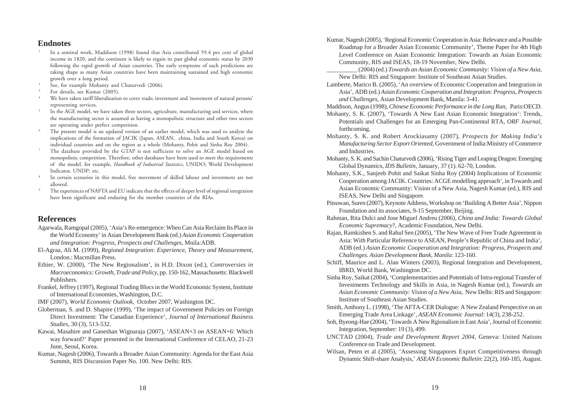## **Endnotes**

- <sup>1</sup> In a seminal work, Maddison (1998) found that Asia contributed 59.4 per cent of global income in 1820, and the continent is likely to regain its past global economic status by 2030 following the rapid growth of Asian countries. The early symptoms of such predictions are taking shape as many Asian countries have been maintaining sustained and high economic growth over a long period.
- See, for example Mohanty and Chaturvedi (2006).
- For details, see Kumar (2005).
- We have taken tariff liberalization to cover trade; investment and 'movement of natural persons' representing services.
- In the AGE model, we have taken three sectors, agriculture, manufacturing and services, where the manufacturing sector is assumed as having a monopolistic structure and other two sectors are operating under perfect competition.
- <sup>6</sup> The present model is an updated version of an earlier model, which was used to analyse the implications of the formation of JACIK (Japan, ASEAN, china, India and South Korea) on individual countries and on the region as a whole (Mohanty, Pohit and Sinha Roy 2004).
- <sup>7</sup> The database provided by the GTAP is not sufficient to solve an AGE model based on monopolistic competition. Therefore, other databases have been used to meet the requirements of the model, for example, *Handbook of Industrial Statistics*, UNIDO; World Development Indicator, UNDP; etc.
- <sup>8</sup> In certain scenarios in this model, free movement of skilled labour and investment are not allowed.
- The experiences of NAFTA and EU indicate that the effects of deeper level of regional integration have been significant and enduring for the member countries of the RIAs.

## **References**

- Agarwala, Ramgopal (2005), 'Asia's Re-emergence: When Can Asia Reclaim Its Place in the World Economy' in Asian Development Bank (ed.) *Asian Economic Cooperation and Integration: Progress, Prospects and Challenges*, Mnila:ADB.
- El-Agraa, Ali M. (1999), *Regional Integration: Experience, Theory and Measurement*, London.: Macmillan Press.
- Ethier, W. (2000), 'The New Regionalism', in H.D. Dixon (ed.), *Controversies in Macroeconomics: Growth, Trade and Policy*, pp. 150-162, Massachusetts: Blackwell Publishers.
- Frankel, Jeffrey (1997), Regional Trading Blocs in the World Economic System, Institute of International Economies, Washington, D.C.
- IMF (2007), *World Economic Outlook*, October 2007, Washington DC.
- Globerman, S. and D. Shapire (1999), 'The impact of Government Policies on Foreign Direct Investment: The Canadian Experience', *Journal of International Business Studies*, 30 (3), 513-532.
- Kawai, Masahire and Ganeshan Wignaraja (2007), 'ASEAN+3 on ASEAN+6: Which way forward?' Paper presented in the International Conference of CELAO, 21-23 June, Seoul, Korea.
- Kumar, Nagesh (2006), Towards a Broader Asian Community: Agenda for the East Asia Summit, RIS Discussion Paper No. 100. New Delhi: RIS.
- Kumar, Nagesh (2005), 'Regional Economic Cooperation in Asia: Relevance and a Possible Roadmap for a Broader Asian Economic Community', Theme Paper for 4th High Level Conference on Asian Economic Integration: Towards an Asian Economic Community, RIS and ISEAS, 18-19 November, New Delhi.
	- \_\_\_\_\_\_\_\_\_\_ (2004) (ed.) *Towards an Asian Economic Community: Vision of a New Asia*, New Delhi: RIS and Singapore: Institute of Southeast Asian Studies.
- Lamberte, Marico B. (2005), 'An overview of Economic Cooperation and Integration in Asia', ADB (ed.) *Asian Economic Cooperation and Integration: Progress, Prospects and Challenges*, Asian Development Bank, Manila: 3-41.
- Maddison, Angus (1998), *Chinese Economic Performance in the Long Run*, Paris:OECD.
- Mohanty, S. K. (2007), 'Towards A New East Asian Economic Integration': Trends, Potentials and Challenges for an Emerging Pan-Continental RTA, *ORF Journal,* forthcoming.
- Mohanty, S. K. and Robert Arockiasamy (2007), *Prospects for Making India's Manufacturing Sector Export Oriented*, Government of India:Ministry of Commerce and Industries.
- Mohanty, S. K. and Sachin Chaturvedi (2006), 'Rising Tiger and Leaping Dragon: Emerging Global Dynamics, *IDS Bulletin*, January, 37 (1). 62-70, London.
- Mohanty, S.K., Sanjeeb Pohit and Saikat Sinha Roy (2004) Implications of Economic Cooperation among JACIK. Countries: ACGE modelling approach', in Towards and Asian Economic Community: Vision of a New Asia, Nagesh Kumar (ed.), RIS and ISEAS, New Delhi and Singapore.
- Pitsuwan, Suren (2007), Keynote Address, Workshop on 'Building A Better Asia', Nippon Foundation and its associates, 9-15 September, Beijing.
- Rahman, Rita Dulci and Jose Miguel Andreu (2006), *China and India: Towards Global Economic Supremacy*?, Academic Foundation, New Delhi.
- Rajan, Ramkishen S. and Rahul Sen (2005), 'The New Wave of Free Trade Agreement in Asia: With Particular Reference to ASEAN, People's Republic of China and India', ADB (ed.) *Asian Economic Cooperation and Integration: Progress, Prospects and Challenges. Asian Development Bank, Manila*: 123-160.
- Schiff, Maurice and L. Alan Winters (2003), Regional Integration and Development, IBRD, World Bank, Washington DC.
- Sinha Roy, Saikat (2004), 'Complementarities and Potentials of Intra-regional Transfer of Investments Technology and Skills in Asia, in Nagesh Kumar (ed.), *Towards an Asian Economic Community: Vision of a New Asia*, New Delhi: RIS and Singapore: Institute of Southeast Asian Studies.
- Smith, Anthony L. (1998), 'The AFTA-CER Dialogue: A New Zealand Perspective on an Emerging Trade Area Linkage', *ASEAN Economic Journal*: 14(3), 238-252.
- Soh, Byeong-Hae (2004), 'Towards A New Rgionalism in East Asia', Journal of Economic Integration, September: 19 (3), 499.
- UNCTAD (2004), *Trade and Development Report 2004*, Geneva: United Nations Conference on Trade and Development.
- Wilsan, Peten et al (2005), 'Assessing Singapores Export Competitiveness through Dynamic Shift-share Analysis,' *ASEAN Economic Bulletin*: 22(2), 160-185, August.